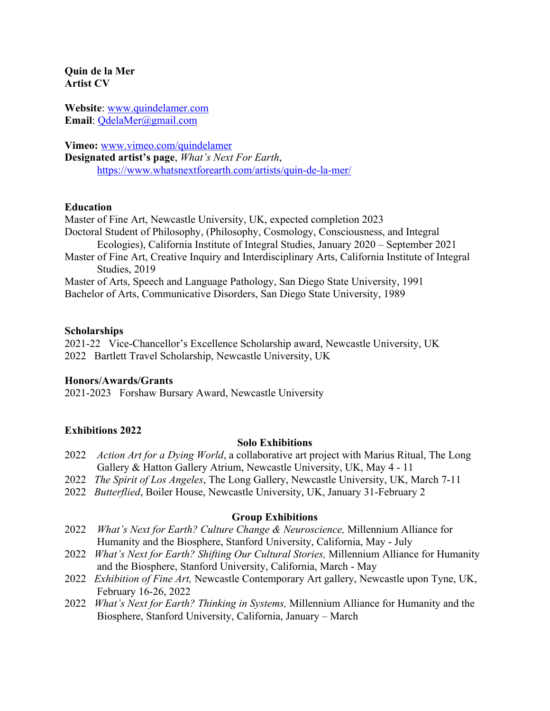**Quin de la Mer Artist CV**

**Website**: www.quindelamer.com **Email**: QdelaMer@gmail.com

**Vimeo:** www.vimeo.com/quindelamer **Designated artist's page**, *What's Next For Earth*, https://www.whatsnextforearth.com/artists/quin-de-la-mer/

## **Education**

Master of Fine Art, Newcastle University, UK, expected completion 2023 Doctoral Student of Philosophy, (Philosophy, Cosmology, Consciousness, and Integral Ecologies), California Institute of Integral Studies, January 2020 – September 2021 Master of Fine Art, Creative Inquiry and Interdisciplinary Arts, California Institute of Integral Studies, 2019 Master of Arts, Speech and Language Pathology, San Diego State University, 1991

Bachelor of Arts, Communicative Disorders, San Diego State University, 1989

## **Scholarships**

2021-22 Vice-Chancellor's Excellence Scholarship award, Newcastle University, UK 2022 Bartlett Travel Scholarship, Newcastle University, UK

### **Honors/Awards/Grants**

2021-2023 Forshaw Bursary Award, Newcastle University

# **Exhibitions 2022**

### **Solo Exhibitions**

- 2022 *Action Art for a Dying World*, a collaborative art project with Marius Ritual, The Long Gallery & Hatton Gallery Atrium, Newcastle University, UK, May 4 - 11
- 2022 *The Spirit of Los Angeles*, The Long Gallery, Newcastle University, UK, March 7-11
- 2022 *Butterflied*, Boiler House, Newcastle University, UK, January 31-February 2

### **Group Exhibitions**

- 2022 *What's Next for Earth? Culture Change & Neuroscience,* Millennium Alliance for Humanity and the Biosphere, Stanford University, California, May - July
- 2022 *What's Next for Earth? Shifting Our Cultural Stories,* Millennium Alliance for Humanity and the Biosphere, Stanford University, California, March - May
- 2022 *Exhibition of Fine Art,* Newcastle Contemporary Art gallery, Newcastle upon Tyne, UK, February 16-26, 2022
- 2022 *What's Next for Earth? Thinking in Systems,* Millennium Alliance for Humanity and the Biosphere, Stanford University, California, January – March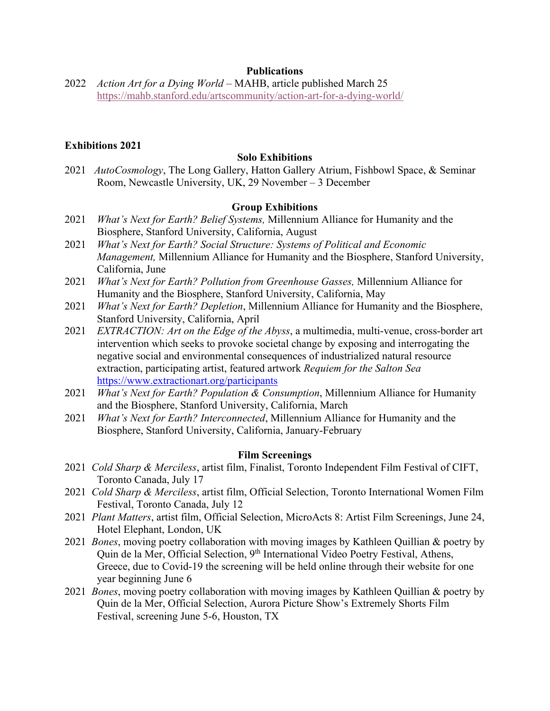## **Publications**

2022 *Action Art for a Dying World* – MAHB, article published March 25 https://mahb.stanford.edu/artscommunity/action-art-for-a-dying-world/

## **Exhibitions 2021**

### **Solo Exhibitions**

2021 *AutoCosmology*, The Long Gallery, Hatton Gallery Atrium, Fishbowl Space, & Seminar Room, Newcastle University, UK, 29 November – 3 December

## **Group Exhibitions**

- 2021 *What's Next for Earth? Belief Systems,* Millennium Alliance for Humanity and the Biosphere, Stanford University, California, August
- 2021 *What's Next for Earth? Social Structure: Systems of Political and Economic Management,* Millennium Alliance for Humanity and the Biosphere, Stanford University, California, June
- 2021 *What's Next for Earth? Pollution from Greenhouse Gasses,* Millennium Alliance for Humanity and the Biosphere, Stanford University, California, May
- 2021 *What's Next for Earth? Depletion*, Millennium Alliance for Humanity and the Biosphere, Stanford University, California, April
- 2021 *EXTRACTION: Art on the Edge of the Abyss*, a multimedia, multi-venue, cross-border art intervention which seeks to provoke societal change by exposing and interrogating the negative social and environmental consequences of industrialized natural resource extraction, participating artist, featured artwork *Requiem for the Salton Sea*  https://www.extractionart.org/participants
- 2021 *What's Next for Earth? Population & Consumption*, Millennium Alliance for Humanity and the Biosphere, Stanford University, California, March
- 2021 *What's Next for Earth? Interconnected*, Millennium Alliance for Humanity and the Biosphere, Stanford University, California, January-February

#### **Film Screenings**

- 2021 *Cold Sharp & Merciless*, artist film, Finalist, Toronto Independent Film Festival of CIFT, Toronto Canada, July 17
- 2021 *Cold Sharp & Merciless*, artist film, Official Selection, Toronto International Women Film Festival, Toronto Canada, July 12
- 2021 *Plant Matters*, artist film, Official Selection, MicroActs 8: Artist Film Screenings, June 24, Hotel Elephant, London, UK
- 2021 *Bones*, moving poetry collaboration with moving images by Kathleen Quillian & poetry by Quin de la Mer, Official Selection, 9<sup>th</sup> International Video Poetry Festival, Athens, Greece, due to Covid-19 the screening will be held online through their website for one year beginning June 6
- 2021 *Bones*, moving poetry collaboration with moving images by Kathleen Quillian & poetry by Quin de la Mer, Official Selection, Aurora Picture Show's Extremely Shorts Film Festival, screening June 5-6, Houston, TX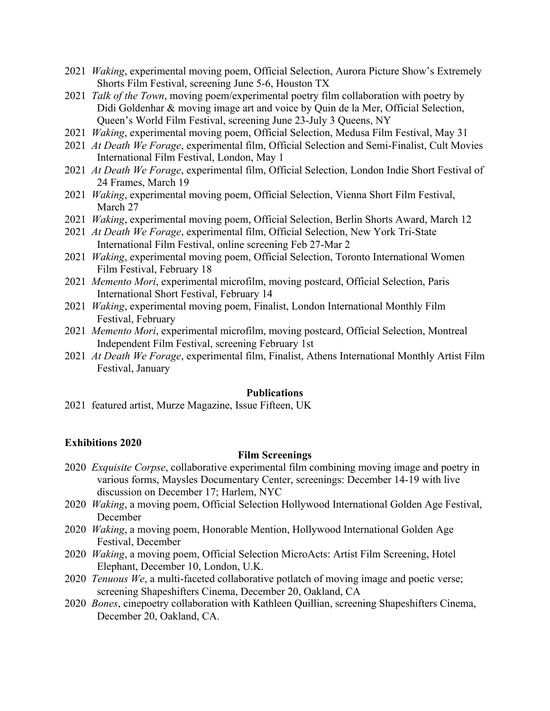- 2021 *Waking*, experimental moving poem, Official Selection, Aurora Picture Show's Extremely Shorts Film Festival, screening June 5-6, Houston TX
- 2021 *Talk of the Town*, moving poem/experimental poetry film collaboration with poetry by Didi Goldenhar & moving image art and voice by Quin de la Mer, Official Selection, Queen's World Film Festival, screening June 23-July 3 Queens, NY
- 2021 *Waking*, experimental moving poem, Official Selection, Medusa Film Festival, May 31
- 2021 *At Death We Forage*, experimental film, Official Selection and Semi-Finalist, Cult Movies International Film Festival, London, May 1
- 2021 *At Death We Forage*, experimental film, Official Selection, London Indie Short Festival of 24 Frames, March 19
- 2021 *Waking*, experimental moving poem, Official Selection, Vienna Short Film Festival, March 27
- 2021 *Waking*, experimental moving poem, Official Selection, Berlin Shorts Award, March 12
- 2021 *At Death We Forage*, experimental film, Official Selection, New York Tri-State International Film Festival, online screening Feb 27-Mar 2
- 2021 *Waking*, experimental moving poem, Official Selection, Toronto International Women Film Festival, February 18
- 2021 *Memento Mori*, experimental microfilm, moving postcard, Official Selection, Paris International Short Festival, February 14
- 2021 *Waking*, experimental moving poem, Finalist, London International Monthly Film Festival, February
- 2021 *Memento Mori*, experimental microfilm, moving postcard, Official Selection, Montreal Independent Film Festival, screening February 1st
- 2021 *At Death We Forage*, experimental film, Finalist, Athens International Monthly Artist Film Festival, January

#### **Publications**

2021 featured artist, Murze Magazine, Issue Fifteen, UK

### **Exhibitions 2020**

# **Film Screenings**

- 2020 *Exquisite Corpse*, collaborative experimental film combining moving image and poetry in various forms, Maysles Documentary Center, screenings: December 14-19 with live discussion on December 17; Harlem, NYC
- 2020 *Waking*, a moving poem, Official Selection Hollywood International Golden Age Festival, December
- 2020 *Waking*, a moving poem, Honorable Mention, Hollywood International Golden Age Festival, December
- 2020 *Waking*, a moving poem, Official Selection MicroActs: Artist Film Screening, Hotel Elephant, December 10, London, U.K.
- 2020 *Tenuous We*, a multi-faceted collaborative potlatch of moving image and poetic verse; screening Shapeshifters Cinema, December 20, Oakland, CA
- 2020 *Bones*, cinepoetry collaboration with Kathleen Quillian, screening Shapeshifters Cinema, December 20, Oakland, CA.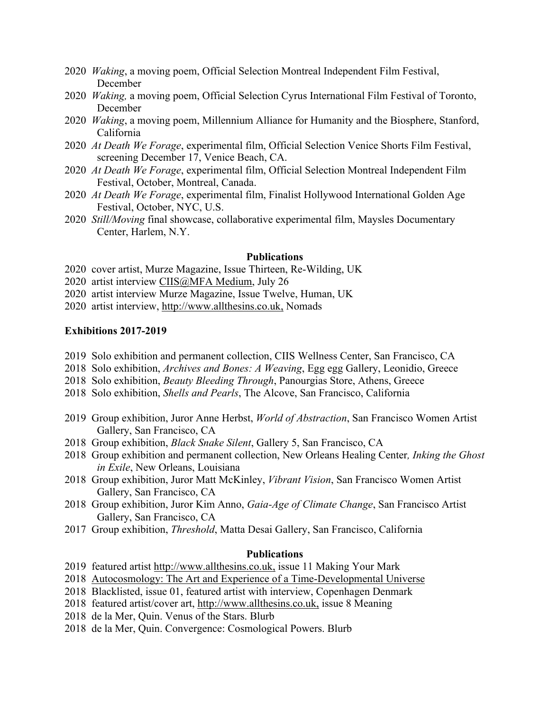- 2020 *Waking*, a moving poem, Official Selection Montreal Independent Film Festival, December
- 2020 *Waking,* a moving poem, Official Selection Cyrus International Film Festival of Toronto, December
- 2020 *Waking*, a moving poem, Millennium Alliance for Humanity and the Biosphere, Stanford, California
- 2020 *At Death We Forage*, experimental film, Official Selection Venice Shorts Film Festival, screening December 17, Venice Beach, CA.
- 2020 *At Death We Forage*, experimental film, Official Selection Montreal Independent Film Festival, October, Montreal, Canada.
- 2020 *At Death We Forage*, experimental film, Finalist Hollywood International Golden Age Festival, October, NYC, U.S.
- 2020 *Still/Moving* final showcase, collaborative experimental film, Maysles Documentary Center, Harlem, N.Y.

## **Publications**

- 2020 cover artist, Murze Magazine, Issue Thirteen, Re-Wilding, UK
- 2020 artist interview CIIS@MFA Medium, July 26
- 2020 artist interview Murze Magazine, Issue Twelve, Human, UK
- 2020 artist interview, http://www.allthesins.co.uk, Nomads

# **Exhibitions 2017-2019**

- 2019 Solo exhibition and permanent collection, CIIS Wellness Center, San Francisco, CA
- 2018 Solo exhibition, *Archives and Bones: A Weaving*, Egg egg Gallery, Leonidio, Greece
- 2018 Solo exhibition, *Beauty Bleeding Through*, Panourgias Store, Athens, Greece
- 2018 Solo exhibition, *Shells and Pearls*, The Alcove, San Francisco, California
- 2019 Group exhibition, Juror Anne Herbst, *World of Abstraction*, San Francisco Women Artist Gallery, San Francisco, CA
- 2018 Group exhibition, *Black Snake Silent*, Gallery 5, San Francisco, CA
- 2018 Group exhibition and permanent collection, New Orleans Healing Center*, Inking the Ghost in Exile*, New Orleans, Louisiana
- 2018 Group exhibition, Juror Matt McKinley, *Vibrant Vision*, San Francisco Women Artist Gallery, San Francisco, CA
- 2018 Group exhibition, Juror Kim Anno, *Gaia-Age of Climate Change*, San Francisco Artist Gallery, San Francisco, CA
- 2017 Group exhibition, *Threshold*, Matta Desai Gallery, San Francisco, California

### **Publications**

- 2019 featured artist http://www.allthesins.co.uk, issue 11 Making Your Mark
- 2018 Autocosmology: The Art and Experience of a Time-Developmental Universe
- 2018 Blacklisted, issue 01, featured artist with interview, Copenhagen Denmark
- 2018 featured artist/cover art, http://www.allthesins.co.uk, issue 8 Meaning
- 2018 de la Mer, Quin. Venus of the Stars. Blurb
- 2018 de la Mer, Quin. Convergence: Cosmological Powers. Blurb